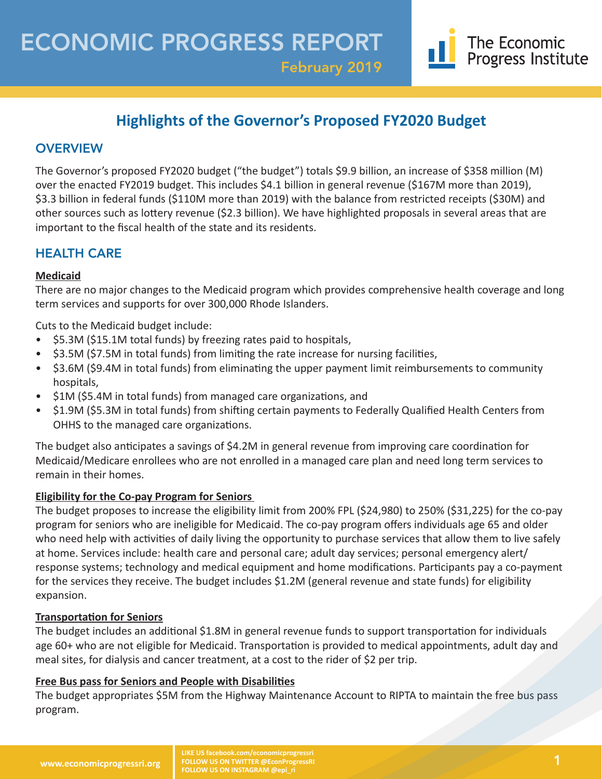February 2019

## **Highlights of the Governor's Proposed FY2020 Budget**

## **OVERVIEW**

The Governor's proposed FY2020 budget ("the budget") totals \$9.9 billion, an increase of \$358 million (M) over the enacted FY2019 budget. This includes \$4.1 billion in general revenue (\$167M more than 2019), \$3.3 billion in federal funds (\$110M more than 2019) with the balance from restricted receipts (\$30M) and other sources such as lottery revenue (\$2.3 billion). We have highlighted proposals in several areas that are important to the fiscal health of the state and its residents.

## HEALTH CARE

#### **Medicaid**

There are no major changes to the Medicaid program which provides comprehensive health coverage and long term services and supports for over 300,000 Rhode Islanders.

Cuts to the Medicaid budget include:

- \$5.3M (\$15.1M total funds) by freezing rates paid to hospitals,
- \$3.5M (\$7.5M in total funds) from limiting the rate increase for nursing facilities,
- \$3.6M (\$9.4M in total funds) from eliminating the upper payment limit reimbursements to community hospitals,
- \$1M (\$5.4M in total funds) from managed care organizations, and
- \$1.9M (\$5.3M in total funds) from shifting certain payments to Federally Qualified Health Centers from OHHS to the managed care organizations.

The budget also anticipates a savings of \$4.2M in general revenue from improving care coordination for Medicaid/Medicare enrollees who are not enrolled in a managed care plan and need long term services to remain in their homes.

#### **Eligibility for the Co-pay Program for Seniors**

The budget proposes to increase the eligibility limit from 200% FPL (\$24,980) to 250% (\$31,225) for the co-pay program for seniors who are ineligible for Medicaid. The co-pay program offers individuals age 65 and older who need help with activities of daily living the opportunity to purchase services that allow them to live safely at home. Services include: health care and personal care; adult day services; personal emergency alert/ response systems; technology and medical equipment and home modifications. Participants pay a co-payment for the services they receive. The budget includes \$1.2M (general revenue and state funds) for eligibility expansion.

#### **Transportation for Seniors**

The budget includes an additional \$1.8M in general revenue funds to support transportation for individuals age 60+ who are not eligible for Medicaid. Transportation is provided to medical appointments, adult day and meal sites, for dialysis and cancer treatment, at a cost to the rider of \$2 per trip.

#### **Free Bus pass for Seniors and People with Disabilities**

The budget appropriates \$5M from the Highway Maintenance Account to RIPTA to maintain the free bus pass program.

The Economic Progress Institute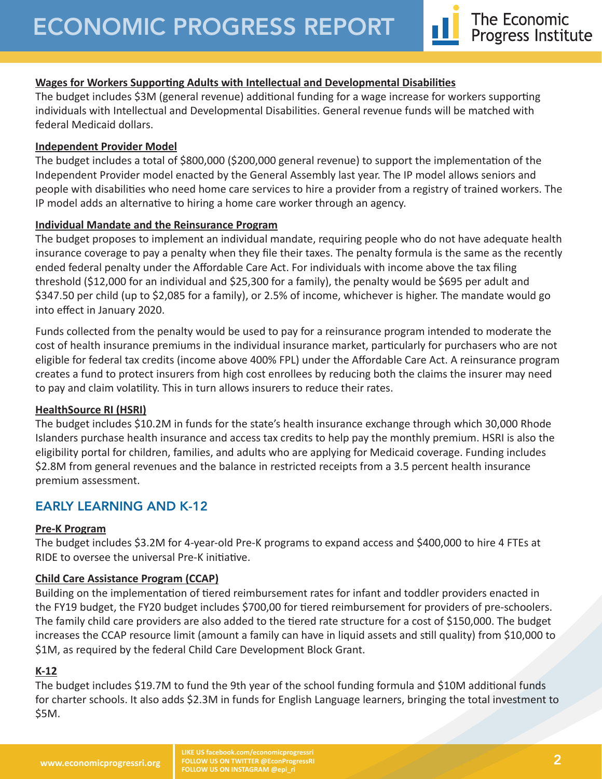#### **Wages for Workers Supporting Adults with Intellectual and Developmental Disabilities**

The budget includes \$3M (general revenue) additional funding for a wage increase for workers supporting individuals with Intellectual and Developmental Disabilities. General revenue funds will be matched with federal Medicaid dollars.

#### **Independent Provider Model**

The budget includes a total of \$800,000 (\$200,000 general revenue) to support the implementation of the Independent Provider model enacted by the General Assembly last year. The IP model allows seniors and people with disabilities who need home care services to hire a provider from a registry of trained workers. The IP model adds an alternative to hiring a home care worker through an agency.

#### **Individual Mandate and the Reinsurance Program**

The budget proposes to implement an individual mandate, requiring people who do not have adequate health insurance coverage to pay a penalty when they file their taxes. The penalty formula is the same as the recently ended federal penalty under the Affordable Care Act. For individuals with income above the tax filing threshold (\$12,000 for an individual and \$25,300 for a family), the penalty would be \$695 per adult and \$347.50 per child (up to \$2,085 for a family), or 2.5% of income, whichever is higher. The mandate would go into effect in January 2020.

Funds collected from the penalty would be used to pay for a reinsurance program intended to moderate the cost of health insurance premiums in the individual insurance market, particularly for purchasers who are not eligible for federal tax credits (income above 400% FPL) under the Affordable Care Act. A reinsurance program creates a fund to protect insurers from high cost enrollees by reducing both the claims the insurer may need to pay and claim volatility. This in turn allows insurers to reduce their rates.

#### **HealthSource RI (HSRI)**

The budget includes \$10.2M in funds for the state's health insurance exchange through which 30,000 Rhode Islanders purchase health insurance and access tax credits to help pay the monthly premium. HSRI is also the eligibility portal for children, families, and adults who are applying for Medicaid coverage. Funding includes \$2.8M from general revenues and the balance in restricted receipts from a 3.5 percent health insurance premium assessment.

## EARLY LEARNING AND K-12

#### **Pre-K Program**

The budget includes \$3.2M for 4-year-old Pre-K programs to expand access and \$400,000 to hire 4 FTEs at RIDE to oversee the universal Pre-K initiative.

#### **Child Care Assistance Program (CCAP)**

Building on the implementation of tiered reimbursement rates for infant and toddler providers enacted in the FY19 budget, the FY20 budget includes \$700,00 for tiered reimbursement for providers of pre-schoolers. The family child care providers are also added to the tiered rate structure for a cost of \$150,000. The budget increases the CCAP resource limit (amount a family can have in liquid assets and still quality) from \$10,000 to \$1M, as required by the federal Child Care Development Block Grant.

#### **K-12**

The budget includes \$19.7M to fund the 9th year of the school funding formula and \$10M additional funds for charter schools. It also adds \$2.3M in funds for English Language learners, bringing the total investment to \$5M.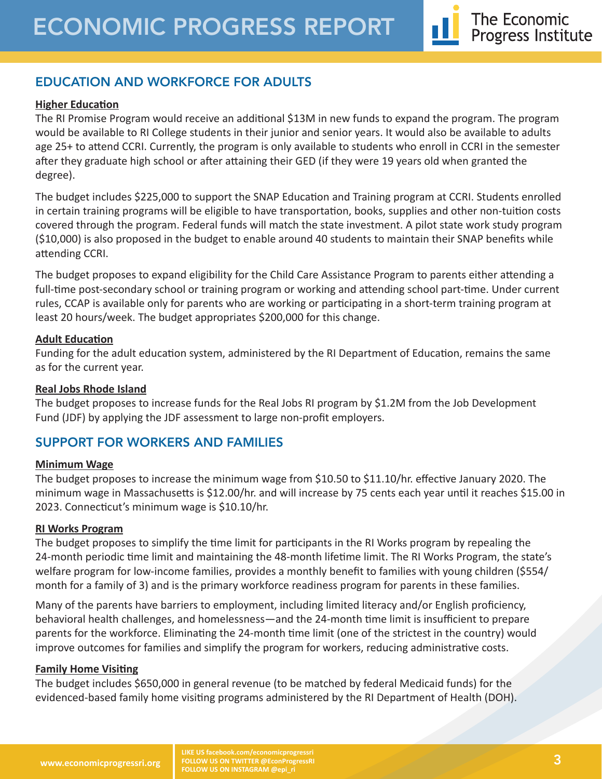## EDUCATION AND WORKFORCE FOR ADULTS

#### **Higher Education**

The RI Promise Program would receive an additional \$13M in new funds to expand the program. The program would be available to RI College students in their junior and senior years. It would also be available to adults age 25+ to attend CCRI. Currently, the program is only available to students who enroll in CCRI in the semester after they graduate high school or after attaining their GED (if they were 19 years old when granted the degree).

The budget includes \$225,000 to support the SNAP Education and Training program at CCRI. Students enrolled in certain training programs will be eligible to have transportation, books, supplies and other non-tuition costs covered through the program. Federal funds will match the state investment. A pilot state work study program (\$10,000) is also proposed in the budget to enable around 40 students to maintain their SNAP benefits while attending CCRI.

The budget proposes to expand eligibility for the Child Care Assistance Program to parents either attending a full-time post-secondary school or training program or working and attending school part-time. Under current rules, CCAP is available only for parents who are working or participating in a short-term training program at least 20 hours/week. The budget appropriates \$200,000 for this change.

#### **Adult Education**

Funding for the adult education system, administered by the RI Department of Education, remains the same as for the current year.

#### **Real Jobs Rhode Island**

The budget proposes to increase funds for the Real Jobs RI program by \$1.2M from the Job Development Fund (JDF) by applying the JDF assessment to large non-profit employers.

## SUPPORT FOR WORKERS AND FAMILIES

#### **Minimum Wage**

The budget proposes to increase the minimum wage from \$10.50 to \$11.10/hr. effective January 2020. The minimum wage in Massachusetts is \$12.00/hr. and will increase by 75 cents each year until it reaches \$15.00 in 2023. Connecticut's minimum wage is \$10.10/hr.

#### **RI Works Program**

The budget proposes to simplify the time limit for participants in the RI Works program by repealing the 24-month periodic time limit and maintaining the 48-month lifetime limit. The RI Works Program, the state's welfare program for low-income families, provides a monthly benefit to families with young children (\$554/ month for a family of 3) and is the primary workforce readiness program for parents in these families.

Many of the parents have barriers to employment, including limited literacy and/or English proficiency, behavioral health challenges, and homelessness—and the 24-month time limit is insufficient to prepare parents for the workforce. Eliminating the 24-month time limit (one of the strictest in the country) would improve outcomes for families and simplify the program for workers, reducing administrative costs.

#### **Family Home Visiting**

The budget includes \$650,000 in general revenue (to be matched by federal Medicaid funds) for the evidenced-based family home visiting programs administered by the RI Department of Health (DOH).

**LIKE US facebook.com/economicprogressri FOLLOW US ON TWITTER @EconProgressRI FOLLOW US ON INSTAGRAM @epi\_ri**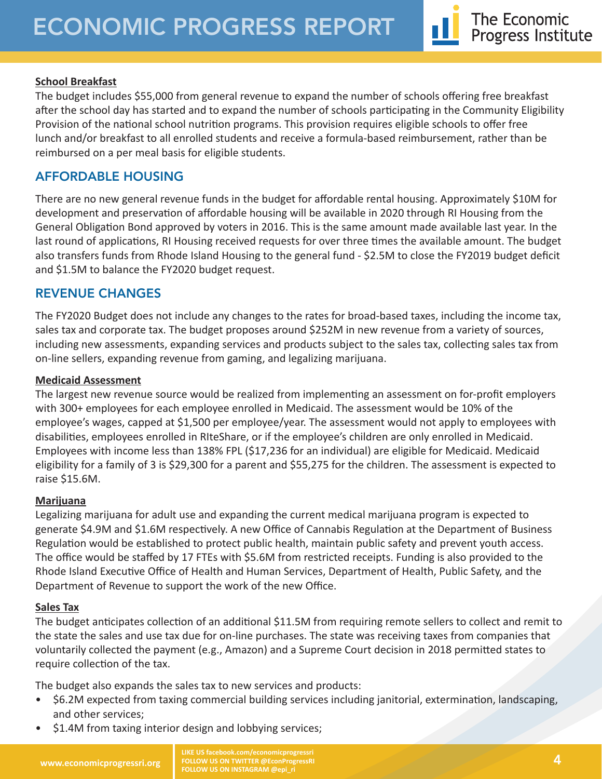#### **School Breakfast**

The budget includes \$55,000 from general revenue to expand the number of schools offering free breakfast after the school day has started and to expand the number of schools participating in the Community Eligibility Provision of the national school nutrition programs. This provision requires eligible schools to offer free lunch and/or breakfast to all enrolled students and receive a formula-based reimbursement, rather than be reimbursed on a per meal basis for eligible students.

## AFFORDABLE HOUSING

There are no new general revenue funds in the budget for affordable rental housing. Approximately \$10M for development and preservation of affordable housing will be available in 2020 through RI Housing from the General Obligation Bond approved by voters in 2016. This is the same amount made available last year. In the last round of applications, RI Housing received requests for over three times the available amount. The budget also transfers funds from Rhode Island Housing to the general fund - \$2.5M to close the FY2019 budget deficit and \$1.5M to balance the FY2020 budget request.

## REVENUE CHANGES

The FY2020 Budget does not include any changes to the rates for broad-based taxes, including the income tax, sales tax and corporate tax. The budget proposes around \$252M in new revenue from a variety of sources, including new assessments, expanding services and products subject to the sales tax, collecting sales tax from on-line sellers, expanding revenue from gaming, and legalizing marijuana.

#### **Medicaid Assessment**

The largest new revenue source would be realized from implementing an assessment on for-profit employers with 300+ employees for each employee enrolled in Medicaid. The assessment would be 10% of the employee's wages, capped at \$1,500 per employee/year. The assessment would not apply to employees with disabilities, employees enrolled in RIteShare, or if the employee's children are only enrolled in Medicaid. Employees with income less than 138% FPL (\$17,236 for an individual) are eligible for Medicaid. Medicaid eligibility for a family of 3 is \$29,300 for a parent and \$55,275 for the children. The assessment is expected to raise \$15.6M.

#### **Marijuana**

Legalizing marijuana for adult use and expanding the current medical marijuana program is expected to generate \$4.9M and \$1.6M respectively. A new Office of Cannabis Regulation at the Department of Business Regulation would be established to protect public health, maintain public safety and prevent youth access. The office would be staffed by 17 FTEs with \$5.6M from restricted receipts. Funding is also provided to the Rhode Island Executive Office of Health and Human Services, Department of Health, Public Safety, and the Department of Revenue to support the work of the new Office.

#### **Sales Tax**

The budget anticipates collection of an additional \$11.5M from requiring remote sellers to collect and remit to the state the sales and use tax due for on-line purchases. The state was receiving taxes from companies that voluntarily collected the payment (e.g., Amazon) and a Supreme Court decision in 2018 permitted states to require collection of the tax.

The budget also expands the sales tax to new services and products:

- \$6.2M expected from taxing commercial building services including janitorial, extermination, landscaping, and other services;
- \$1.4M from taxing interior design and lobbying services;